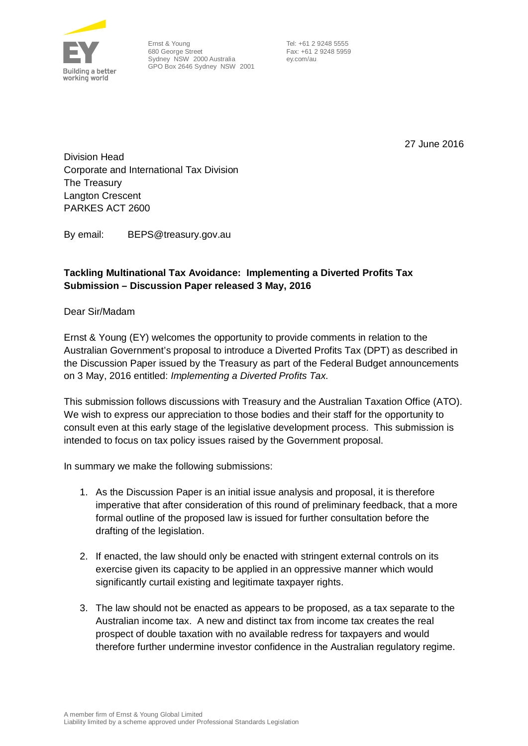

Ernst & Young 680 George Street Sydney NSW 2000 Australia GPO Box 2646 Sydney NSW 2001

 Tel: +61 2 9248 5555 Fax: +61 2 9248 5959 ey.com/au

27 June 2016

Division Head Corporate and International Tax Division The Treasury Langton Crescent PARKES ACT 2600

By email: BEPS@treasury.gov.au

## **Tackling Multinational Tax Avoidance: Implementing a Diverted Profits Tax Submission – Discussion Paper released 3 May, 2016**

Dear Sir/Madam

Ernst & Young (EY) welcomes the opportunity to provide comments in relation to the Australian Government's proposal to introduce a Diverted Profits Tax (DPT) as described in the Discussion Paper issued by the Treasury as part of the Federal Budget announcements on 3 May, 2016 entitled: *Implementing a Diverted Profits Tax*.

This submission follows discussions with Treasury and the Australian Taxation Office (ATO). We wish to express our appreciation to those bodies and their staff for the opportunity to consult even at this early stage of the legislative development process. This submission is intended to focus on tax policy issues raised by the Government proposal.

In summary we make the following submissions:

- 1. As the Discussion Paper is an initial issue analysis and proposal, it is therefore imperative that after consideration of this round of preliminary feedback, that a more formal outline of the proposed law is issued for further consultation before the drafting of the legislation.
- 2. If enacted, the law should only be enacted with stringent external controls on its exercise given its capacity to be applied in an oppressive manner which would significantly curtail existing and legitimate taxpayer rights.
- 3. The law should not be enacted as appears to be proposed, as a tax separate to the Australian income tax. A new and distinct tax from income tax creates the real prospect of double taxation with no available redress for taxpayers and would therefore further undermine investor confidence in the Australian regulatory regime.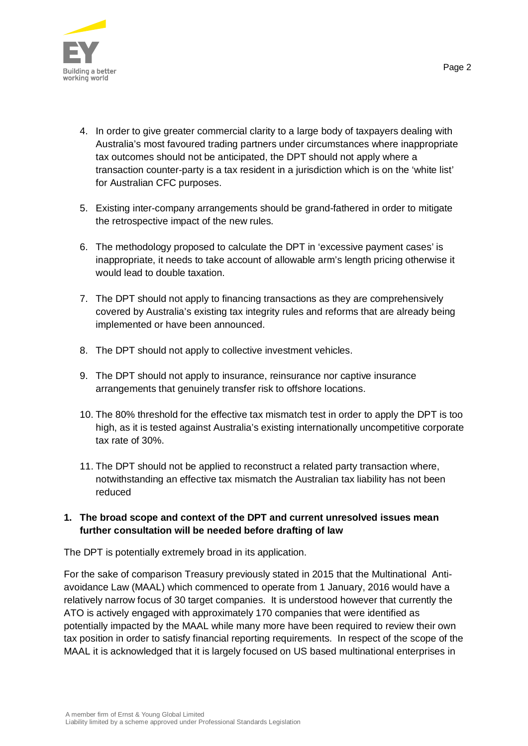

- 4. In order to give greater commercial clarity to a large body of taxpayers dealing with Australia's most favoured trading partners under circumstances where inappropriate tax outcomes should not be anticipated, the DPT should not apply where a transaction counter-party is a tax resident in a jurisdiction which is on the 'white list' for Australian CFC purposes.
- 5. Existing inter-company arrangements should be grand-fathered in order to mitigate the retrospective impact of the new rules.
- 6. The methodology proposed to calculate the DPT in 'excessive payment cases' is inappropriate, it needs to take account of allowable arm's length pricing otherwise it would lead to double taxation.
- 7. The DPT should not apply to financing transactions as they are comprehensively covered by Australia's existing tax integrity rules and reforms that are already being implemented or have been announced.
- 8. The DPT should not apply to collective investment vehicles.
- 9. The DPT should not apply to insurance, reinsurance nor captive insurance arrangements that genuinely transfer risk to offshore locations.
- 10. The 80% threshold for the effective tax mismatch test in order to apply the DPT is too high, as it is tested against Australia's existing internationally uncompetitive corporate tax rate of 30%.
- 11. The DPT should not be applied to reconstruct a related party transaction where, notwithstanding an effective tax mismatch the Australian tax liability has not been reduced

## **1. The broad scope and context of the DPT and current unresolved issues mean further consultation will be needed before drafting of law**

The DPT is potentially extremely broad in its application.

For the sake of comparison Treasury previously stated in 2015 that the Multinational Antiavoidance Law (MAAL) which commenced to operate from 1 January, 2016 would have a relatively narrow focus of 30 target companies. It is understood however that currently the ATO is actively engaged with approximately 170 companies that were identified as potentially impacted by the MAAL while many more have been required to review their own tax position in order to satisfy financial reporting requirements. In respect of the scope of the MAAL it is acknowledged that it is largely focused on US based multinational enterprises in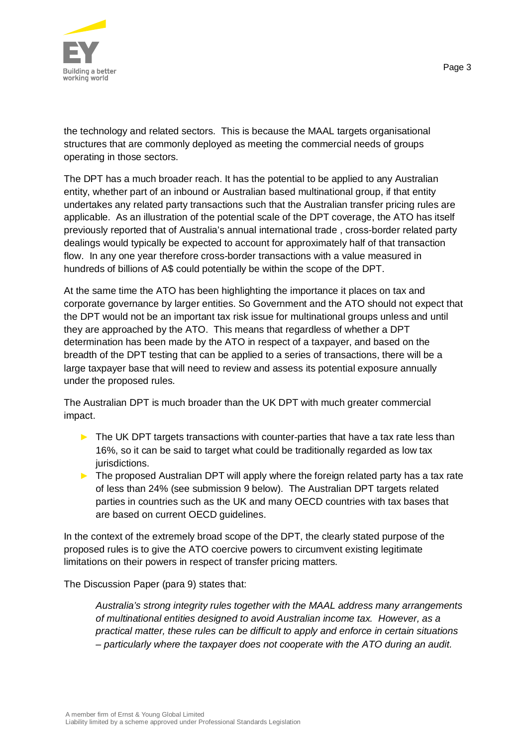

the technology and related sectors. This is because the MAAL targets organisational structures that are commonly deployed as meeting the commercial needs of groups operating in those sectors.

The DPT has a much broader reach. It has the potential to be applied to any Australian entity, whether part of an inbound or Australian based multinational group, if that entity undertakes any related party transactions such that the Australian transfer pricing rules are applicable. As an illustration of the potential scale of the DPT coverage, the ATO has itself previously reported that of Australia's annual international trade , cross-border related party dealings would typically be expected to account for approximately half of that transaction flow. In any one year therefore cross-border transactions with a value measured in hundreds of billions of A\$ could potentially be within the scope of the DPT.

At the same time the ATO has been highlighting the importance it places on tax and corporate governance by larger entities. So Government and the ATO should not expect that the DPT would not be an important tax risk issue for multinational groups unless and until they are approached by the ATO. This means that regardless of whether a DPT determination has been made by the ATO in respect of a taxpayer, and based on the breadth of the DPT testing that can be applied to a series of transactions, there will be a large taxpayer base that will need to review and assess its potential exposure annually under the proposed rules.

The Australian DPT is much broader than the UK DPT with much greater commercial impact.

- $\triangleright$  The UK DPT targets transactions with counter-parties that have a tax rate less than 16%, so it can be said to target what could be traditionally regarded as low tax jurisdictions.
- ► The proposed Australian DPT will apply where the foreign related party has a tax rate of less than 24% (see submission 9 below). The Australian DPT targets related parties in countries such as the UK and many OECD countries with tax bases that are based on current OECD guidelines.

In the context of the extremely broad scope of the DPT, the clearly stated purpose of the proposed rules is to give the ATO coercive powers to circumvent existing legitimate limitations on their powers in respect of transfer pricing matters.

The Discussion Paper (para 9) states that:

*Australia's strong integrity rules together with the MAAL address many arrangements of multinational entities designed to avoid Australian income tax. However, as a practical matter, these rules can be difficult to apply and enforce in certain situations – particularly where the taxpayer does not cooperate with the ATO during an audit.*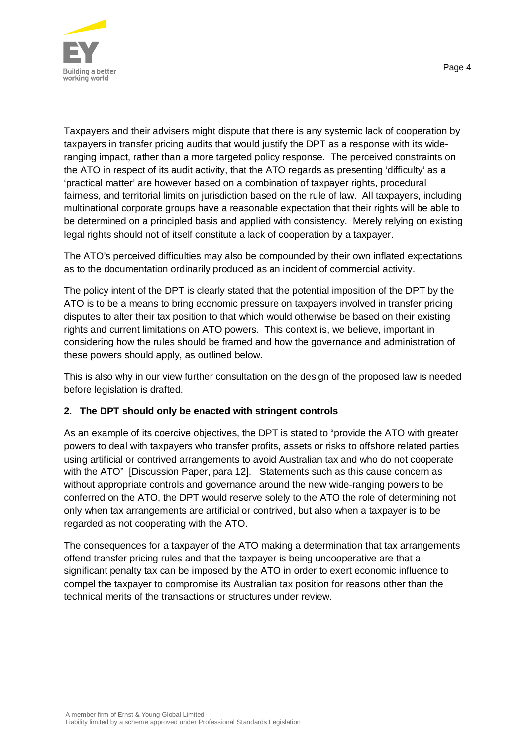

Taxpayers and their advisers might dispute that there is any systemic lack of cooperation by taxpayers in transfer pricing audits that would justify the DPT as a response with its wideranging impact, rather than a more targeted policy response. The perceived constraints on the ATO in respect of its audit activity, that the ATO regards as presenting 'difficulty' as a 'practical matter' are however based on a combination of taxpayer rights, procedural fairness, and territorial limits on jurisdiction based on the rule of law. All taxpayers, including multinational corporate groups have a reasonable expectation that their rights will be able to be determined on a principled basis and applied with consistency. Merely relying on existing legal rights should not of itself constitute a lack of cooperation by a taxpayer.

The ATO's perceived difficulties may also be compounded by their own inflated expectations as to the documentation ordinarily produced as an incident of commercial activity.

The policy intent of the DPT is clearly stated that the potential imposition of the DPT by the ATO is to be a means to bring economic pressure on taxpayers involved in transfer pricing disputes to alter their tax position to that which would otherwise be based on their existing rights and current limitations on ATO powers. This context is, we believe, important in considering how the rules should be framed and how the governance and administration of these powers should apply, as outlined below.

This is also why in our view further consultation on the design of the proposed law is needed before legislation is drafted.

## **2. The DPT should only be enacted with stringent controls**

As an example of its coercive objectives, the DPT is stated to "provide the ATO with greater powers to deal with taxpayers who transfer profits, assets or risks to offshore related parties using artificial or contrived arrangements to avoid Australian tax and who do not cooperate with the ATO" [Discussion Paper, para 12]. Statements such as this cause concern as without appropriate controls and governance around the new wide-ranging powers to be conferred on the ATO, the DPT would reserve solely to the ATO the role of determining not only when tax arrangements are artificial or contrived, but also when a taxpayer is to be regarded as not cooperating with the ATO.

The consequences for a taxpayer of the ATO making a determination that tax arrangements offend transfer pricing rules and that the taxpayer is being uncooperative are that a significant penalty tax can be imposed by the ATO in order to exert economic influence to compel the taxpayer to compromise its Australian tax position for reasons other than the technical merits of the transactions or structures under review.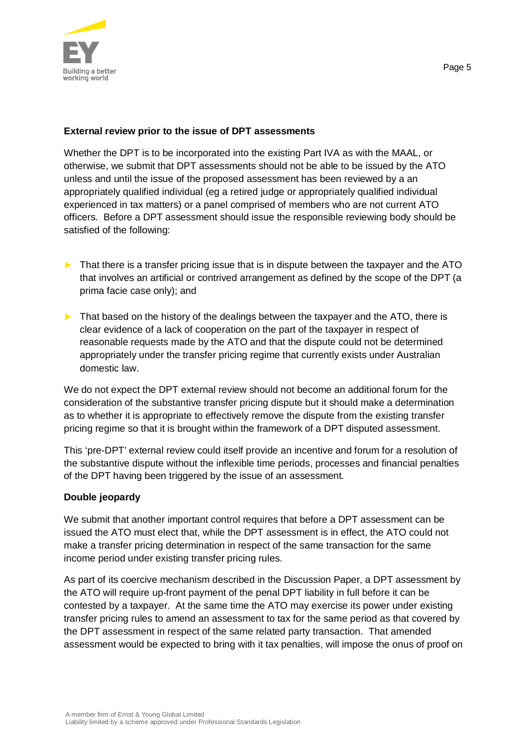

#### **External review prior to the issue of DPT assessments**

Whether the DPT is to be incorporated into the existing Part IVA as with the MAAL, or otherwise, we submit that DPT assessments should not be able to be issued by the ATO unless and until the issue of the proposed assessment has been reviewed by a an appropriately qualified individual (eg a retired judge or appropriately qualified individual experienced in tax matters) or a panel comprised of members who are not current ATO officers. Before a DPT assessment should issue the responsible reviewing body should be satisfied of the following:

- ► That there is a transfer pricing issue that is in dispute between the taxpayer and the ATO that involves an artificial or contrived arrangement as defined by the scope of the DPT (a prima facie case only); and
- ► That based on the history of the dealings between the taxpayer and the ATO, there is clear evidence of a lack of cooperation on the part of the taxpayer in respect of reasonable requests made by the ATO and that the dispute could not be determined appropriately under the transfer pricing regime that currently exists under Australian domestic law.

We do not expect the DPT external review should not become an additional forum for the consideration of the substantive transfer pricing dispute but it should make a determination as to whether it is appropriate to effectively remove the dispute from the existing transfer pricing regime so that it is brought within the framework of a DPT disputed assessment.

This 'pre-DPT' external review could itself provide an incentive and forum for a resolution of the substantive dispute without the inflexible time periods, processes and financial penalties of the DPT having been triggered by the issue of an assessment.

#### **Double jeopardy**

We submit that another important control requires that before a DPT assessment can be issued the ATO must elect that, while the DPT assessment is in effect, the ATO could not make a transfer pricing determination in respect of the same transaction for the same income period under existing transfer pricing rules.

As part of its coercive mechanism described in the Discussion Paper, a DPT assessment by the ATO will require up-front payment of the penal DPT liability in full before it can be contested by a taxpayer. At the same time the ATO may exercise its power under existing transfer pricing rules to amend an assessment to tax for the same period as that covered by the DPT assessment in respect of the same related party transaction. That amended assessment would be expected to bring with it tax penalties, will impose the onus of proof on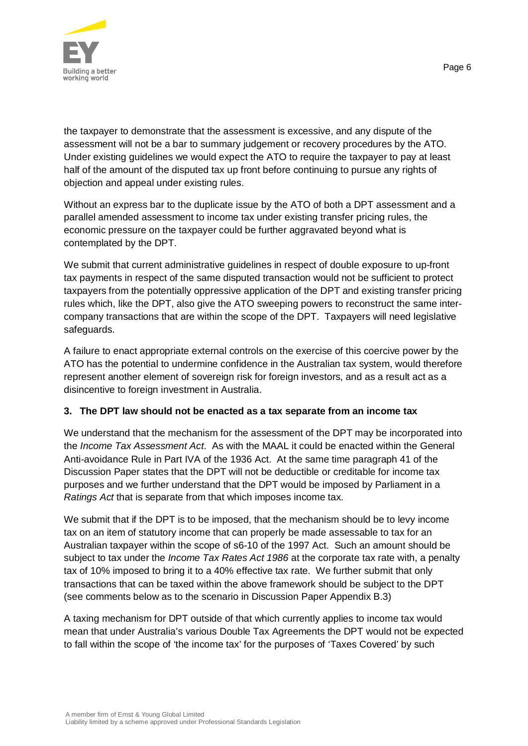

the taxpayer to demonstrate that the assessment is excessive, and any dispute of the assessment will not be a bar to summary judgement or recovery procedures by the ATO. Under existing guidelines we would expect the ATO to require the taxpayer to pay at least half of the amount of the disputed tax up front before continuing to pursue any rights of objection and appeal under existing rules.

Without an express bar to the duplicate issue by the ATO of both a DPT assessment and a parallel amended assessment to income tax under existing transfer pricing rules, the economic pressure on the taxpayer could be further aggravated beyond what is contemplated by the DPT.

We submit that current administrative guidelines in respect of double exposure to up-front tax payments in respect of the same disputed transaction would not be sufficient to protect taxpayers from the potentially oppressive application of the DPT and existing transfer pricing rules which, like the DPT, also give the ATO sweeping powers to reconstruct the same intercompany transactions that are within the scope of the DPT. Taxpayers will need legislative safeguards.

A failure to enact appropriate external controls on the exercise of this coercive power by the ATO has the potential to undermine confidence in the Australian tax system, would therefore represent another element of sovereign risk for foreign investors, and as a result act as a disincentive to foreign investment in Australia.

## **3. The DPT law should not be enacted as a tax separate from an income tax**

We understand that the mechanism for the assessment of the DPT may be incorporated into the *Income Tax Assessment Act*. As with the MAAL it could be enacted within the General Anti-avoidance Rule in Part IVA of the 1936 Act. At the same time paragraph 41 of the Discussion Paper states that the DPT will not be deductible or creditable for income tax purposes and we further understand that the DPT would be imposed by Parliament in a *Ratings Act* that is separate from that which imposes income tax.

We submit that if the DPT is to be imposed, that the mechanism should be to levy income tax on an item of statutory income that can properly be made assessable to tax for an Australian taxpayer within the scope of s6-10 of the 1997 Act. Such an amount should be subject to tax under the *Income Tax Rates Act 1986* at the corporate tax rate with, a penalty tax of 10% imposed to bring it to a 40% effective tax rate. We further submit that only transactions that can be taxed within the above framework should be subject to the DPT (see comments below as to the scenario in Discussion Paper Appendix B.3)

A taxing mechanism for DPT outside of that which currently applies to income tax would mean that under Australia's various Double Tax Agreements the DPT would not be expected to fall within the scope of 'the income tax' for the purposes of 'Taxes Covered' by such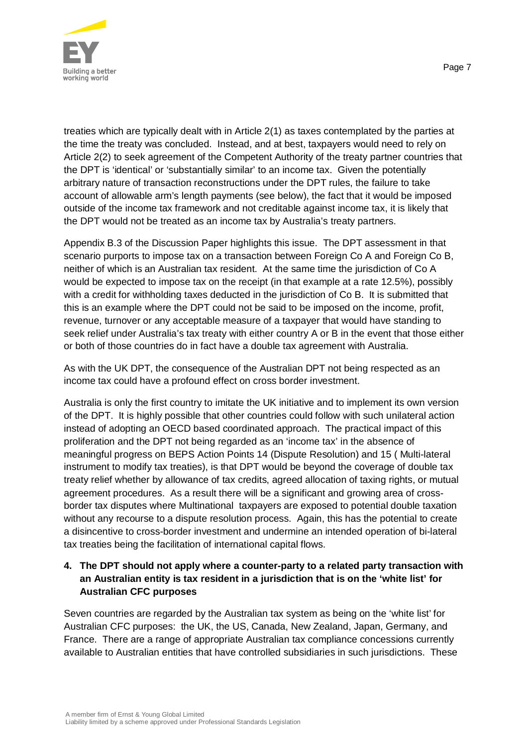

treaties which are typically dealt with in Article 2(1) as taxes contemplated by the parties at the time the treaty was concluded. Instead, and at best, taxpayers would need to rely on Article 2(2) to seek agreement of the Competent Authority of the treaty partner countries that the DPT is 'identical' or 'substantially similar' to an income tax. Given the potentially arbitrary nature of transaction reconstructions under the DPT rules, the failure to take account of allowable arm's length payments (see below), the fact that it would be imposed outside of the income tax framework and not creditable against income tax, it is likely that the DPT would not be treated as an income tax by Australia's treaty partners.

Appendix B.3 of the Discussion Paper highlights this issue. The DPT assessment in that scenario purports to impose tax on a transaction between Foreign Co A and Foreign Co B, neither of which is an Australian tax resident. At the same time the jurisdiction of Co A would be expected to impose tax on the receipt (in that example at a rate 12.5%), possibly with a credit for withholding taxes deducted in the jurisdiction of Co B. It is submitted that this is an example where the DPT could not be said to be imposed on the income, profit, revenue, turnover or any acceptable measure of a taxpayer that would have standing to seek relief under Australia's tax treaty with either country A or B in the event that those either or both of those countries do in fact have a double tax agreement with Australia.

As with the UK DPT, the consequence of the Australian DPT not being respected as an income tax could have a profound effect on cross border investment.

Australia is only the first country to imitate the UK initiative and to implement its own version of the DPT. It is highly possible that other countries could follow with such unilateral action instead of adopting an OECD based coordinated approach. The practical impact of this proliferation and the DPT not being regarded as an 'income tax' in the absence of meaningful progress on BEPS Action Points 14 (Dispute Resolution) and 15 ( Multi-lateral instrument to modify tax treaties), is that DPT would be beyond the coverage of double tax treaty relief whether by allowance of tax credits, agreed allocation of taxing rights, or mutual agreement procedures. As a result there will be a significant and growing area of crossborder tax disputes where Multinational taxpayers are exposed to potential double taxation without any recourse to a dispute resolution process. Again, this has the potential to create a disincentive to cross-border investment and undermine an intended operation of bi-lateral tax treaties being the facilitation of international capital flows.

# **4. The DPT should not apply where a counter-party to a related party transaction with an Australian entity is tax resident in a jurisdiction that is on the 'white list' for Australian CFC purposes**

Seven countries are regarded by the Australian tax system as being on the 'white list' for Australian CFC purposes: the UK, the US, Canada, New Zealand, Japan, Germany, and France. There are a range of appropriate Australian tax compliance concessions currently available to Australian entities that have controlled subsidiaries in such jurisdictions. These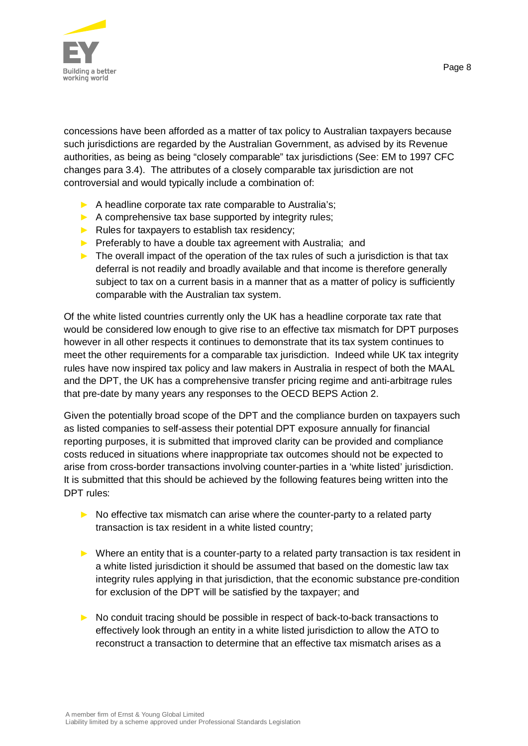

concessions have been afforded as a matter of tax policy to Australian taxpayers because such jurisdictions are regarded by the Australian Government, as advised by its Revenue authorities, as being as being "closely comparable" tax jurisdictions (See: EM to 1997 CFC changes para 3.4). The attributes of a closely comparable tax jurisdiction are not controversial and would typically include a combination of:

- ► A headline corporate tax rate comparable to Australia's;
- $\blacktriangleright$  A comprehensive tax base supported by integrity rules;
- $\blacktriangleright$  Rules for taxpayers to establish tax residency;
- ► Preferably to have a double tax agreement with Australia; and
- $\blacktriangleright$  The overall impact of the operation of the tax rules of such a jurisdiction is that tax deferral is not readily and broadly available and that income is therefore generally subject to tax on a current basis in a manner that as a matter of policy is sufficiently comparable with the Australian tax system.

Of the white listed countries currently only the UK has a headline corporate tax rate that would be considered low enough to give rise to an effective tax mismatch for DPT purposes however in all other respects it continues to demonstrate that its tax system continues to meet the other requirements for a comparable tax jurisdiction. Indeed while UK tax integrity rules have now inspired tax policy and law makers in Australia in respect of both the MAAL and the DPT, the UK has a comprehensive transfer pricing regime and anti-arbitrage rules that pre-date by many years any responses to the OECD BEPS Action 2.

Given the potentially broad scope of the DPT and the compliance burden on taxpayers such as listed companies to self-assess their potential DPT exposure annually for financial reporting purposes, it is submitted that improved clarity can be provided and compliance costs reduced in situations where inappropriate tax outcomes should not be expected to arise from cross-border transactions involving counter-parties in a 'white listed' jurisdiction. It is submitted that this should be achieved by the following features being written into the DPT rules:

- $\triangleright$  No effective tax mismatch can arise where the counter-party to a related party transaction is tax resident in a white listed country;
- ► Where an entity that is a counter-party to a related party transaction is tax resident in a white listed jurisdiction it should be assumed that based on the domestic law tax integrity rules applying in that jurisdiction, that the economic substance pre-condition for exclusion of the DPT will be satisfied by the taxpayer; and
- ► No conduit tracing should be possible in respect of back-to-back transactions to effectively look through an entity in a white listed jurisdiction to allow the ATO to reconstruct a transaction to determine that an effective tax mismatch arises as a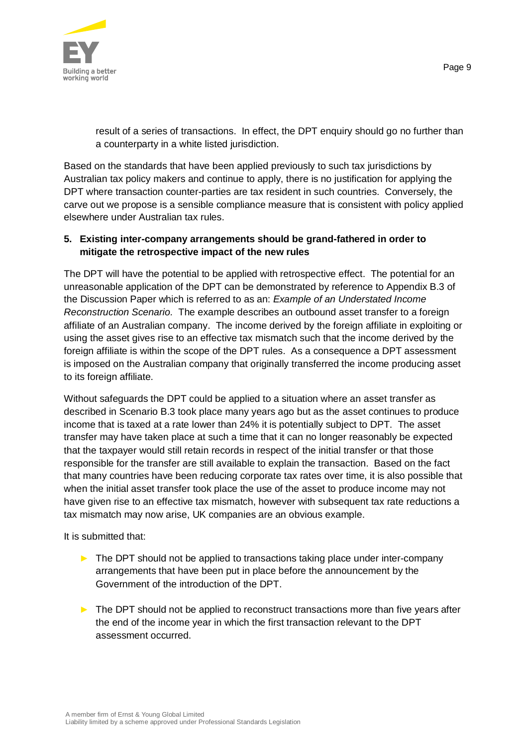

result of a series of transactions. In effect, the DPT enquiry should go no further than a counterparty in a white listed jurisdiction.

Based on the standards that have been applied previously to such tax jurisdictions by Australian tax policy makers and continue to apply, there is no justification for applying the DPT where transaction counter-parties are tax resident in such countries. Conversely, the carve out we propose is a sensible compliance measure that is consistent with policy applied elsewhere under Australian tax rules.

## **5. Existing inter-company arrangements should be grand-fathered in order to mitigate the retrospective impact of the new rules**

The DPT will have the potential to be applied with retrospective effect. The potential for an unreasonable application of the DPT can be demonstrated by reference to Appendix B.3 of the Discussion Paper which is referred to as an: *Example of an Understated Income Reconstruction Scenario.* The example describes an outbound asset transfer to a foreign affiliate of an Australian company. The income derived by the foreign affiliate in exploiting or using the asset gives rise to an effective tax mismatch such that the income derived by the foreign affiliate is within the scope of the DPT rules. As a consequence a DPT assessment is imposed on the Australian company that originally transferred the income producing asset to its foreign affiliate.

Without safeguards the DPT could be applied to a situation where an asset transfer as described in Scenario B.3 took place many years ago but as the asset continues to produce income that is taxed at a rate lower than 24% it is potentially subject to DPT. The asset transfer may have taken place at such a time that it can no longer reasonably be expected that the taxpayer would still retain records in respect of the initial transfer or that those responsible for the transfer are still available to explain the transaction. Based on the fact that many countries have been reducing corporate tax rates over time, it is also possible that when the initial asset transfer took place the use of the asset to produce income may not have given rise to an effective tax mismatch, however with subsequent tax rate reductions a tax mismatch may now arise, UK companies are an obvious example.

It is submitted that:

- ► The DPT should not be applied to transactions taking place under inter-company arrangements that have been put in place before the announcement by the Government of the introduction of the DPT.
- ► The DPT should not be applied to reconstruct transactions more than five years after the end of the income year in which the first transaction relevant to the DPT assessment occurred.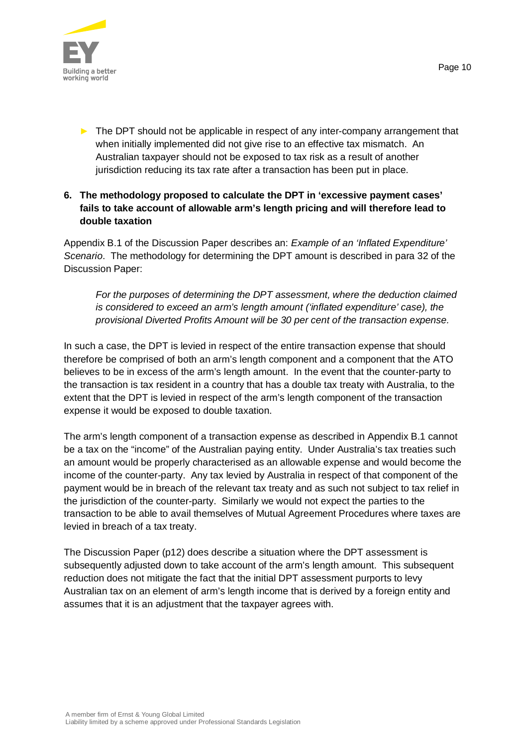

► The DPT should not be applicable in respect of any inter-company arrangement that when initially implemented did not give rise to an effective tax mismatch. An Australian taxpayer should not be exposed to tax risk as a result of another jurisdiction reducing its tax rate after a transaction has been put in place.

## **6. The methodology proposed to calculate the DPT in 'excessive payment cases' fails to take account of allowable arm's length pricing and will therefore lead to double taxation**

Appendix B.1 of the Discussion Paper describes an: *Example of an 'Inflated Expenditure' Scenario*. The methodology for determining the DPT amount is described in para 32 of the Discussion Paper:

*For the purposes of determining the DPT assessment, where the deduction claimed is considered to exceed an arm's length amount ('inflated expenditure' case), the provisional Diverted Profits Amount will be 30 per cent of the transaction expense.*

In such a case, the DPT is levied in respect of the entire transaction expense that should therefore be comprised of both an arm's length component and a component that the ATO believes to be in excess of the arm's length amount. In the event that the counter-party to the transaction is tax resident in a country that has a double tax treaty with Australia, to the extent that the DPT is levied in respect of the arm's length component of the transaction expense it would be exposed to double taxation.

The arm's length component of a transaction expense as described in Appendix B.1 cannot be a tax on the "income" of the Australian paying entity. Under Australia's tax treaties such an amount would be properly characterised as an allowable expense and would become the income of the counter-party. Any tax levied by Australia in respect of that component of the payment would be in breach of the relevant tax treaty and as such not subject to tax relief in the jurisdiction of the counter-party. Similarly we would not expect the parties to the transaction to be able to avail themselves of Mutual Agreement Procedures where taxes are levied in breach of a tax treaty.

The Discussion Paper (p12) does describe a situation where the DPT assessment is subsequently adjusted down to take account of the arm's length amount. This subsequent reduction does not mitigate the fact that the initial DPT assessment purports to levy Australian tax on an element of arm's length income that is derived by a foreign entity and assumes that it is an adjustment that the taxpayer agrees with.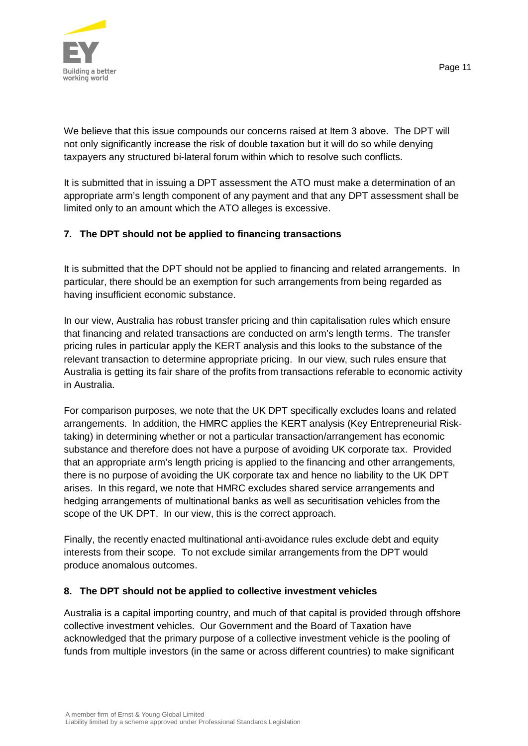

Page 11

We believe that this issue compounds our concerns raised at Item 3 above. The DPT will not only significantly increase the risk of double taxation but it will do so while denying taxpayers any structured bi-lateral forum within which to resolve such conflicts.

It is submitted that in issuing a DPT assessment the ATO must make a determination of an appropriate arm's length component of any payment and that any DPT assessment shall be limited only to an amount which the ATO alleges is excessive.

## **7. The DPT should not be applied to financing transactions**

It is submitted that the DPT should not be applied to financing and related arrangements. In particular, there should be an exemption for such arrangements from being regarded as having insufficient economic substance.

In our view, Australia has robust transfer pricing and thin capitalisation rules which ensure that financing and related transactions are conducted on arm's length terms. The transfer pricing rules in particular apply the KERT analysis and this looks to the substance of the relevant transaction to determine appropriate pricing. In our view, such rules ensure that Australia is getting its fair share of the profits from transactions referable to economic activity in Australia.

For comparison purposes, we note that the UK DPT specifically excludes loans and related arrangements. In addition, the HMRC applies the KERT analysis (Key Entrepreneurial Risktaking) in determining whether or not a particular transaction/arrangement has economic substance and therefore does not have a purpose of avoiding UK corporate tax. Provided that an appropriate arm's length pricing is applied to the financing and other arrangements, there is no purpose of avoiding the UK corporate tax and hence no liability to the UK DPT arises. In this regard, we note that HMRC excludes shared service arrangements and hedging arrangements of multinational banks as well as securitisation vehicles from the scope of the UK DPT. In our view, this is the correct approach.

Finally, the recently enacted multinational anti-avoidance rules exclude debt and equity interests from their scope. To not exclude similar arrangements from the DPT would produce anomalous outcomes.

#### **8. The DPT should not be applied to collective investment vehicles**

Australia is a capital importing country, and much of that capital is provided through offshore collective investment vehicles. Our Government and the Board of Taxation have acknowledged that the primary purpose of a collective investment vehicle is the pooling of funds from multiple investors (in the same or across different countries) to make significant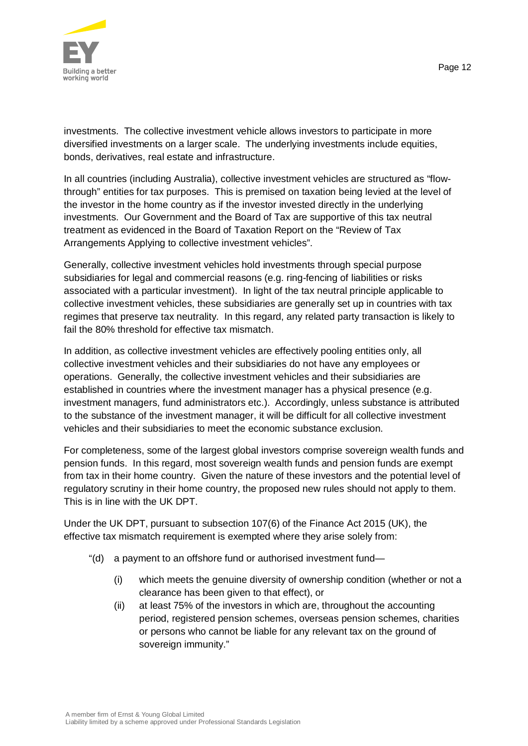



investments. The collective investment vehicle allows investors to participate in more diversified investments on a larger scale. The underlying investments include equities, bonds, derivatives, real estate and infrastructure.

In all countries (including Australia), collective investment vehicles are structured as "flowthrough" entities for tax purposes. This is premised on taxation being levied at the level of the investor in the home country as if the investor invested directly in the underlying investments. Our Government and the Board of Tax are supportive of this tax neutral treatment as evidenced in the Board of Taxation Report on the "Review of Tax Arrangements Applying to collective investment vehicles".

Generally, collective investment vehicles hold investments through special purpose subsidiaries for legal and commercial reasons (e.g. ring-fencing of liabilities or risks associated with a particular investment). In light of the tax neutral principle applicable to collective investment vehicles, these subsidiaries are generally set up in countries with tax regimes that preserve tax neutrality. In this regard, any related party transaction is likely to fail the 80% threshold for effective tax mismatch.

In addition, as collective investment vehicles are effectively pooling entities only, all collective investment vehicles and their subsidiaries do not have any employees or operations. Generally, the collective investment vehicles and their subsidiaries are established in countries where the investment manager has a physical presence (e.g. investment managers, fund administrators etc.). Accordingly, unless substance is attributed to the substance of the investment manager, it will be difficult for all collective investment vehicles and their subsidiaries to meet the economic substance exclusion.

For completeness, some of the largest global investors comprise sovereign wealth funds and pension funds. In this regard, most sovereign wealth funds and pension funds are exempt from tax in their home country. Given the nature of these investors and the potential level of regulatory scrutiny in their home country, the proposed new rules should not apply to them. This is in line with the UK DPT.

Under the UK DPT, pursuant to subsection 107(6) of the Finance Act 2015 (UK), the effective tax mismatch requirement is exempted where they arise solely from:

- "(d) a payment to an offshore fund or authorised investment fund—
	- (i) which meets the genuine diversity of ownership condition (whether or not a clearance has been given to that effect), or
	- (ii) at least 75% of the investors in which are, throughout the accounting period, registered pension schemes, overseas pension schemes, charities or persons who cannot be liable for any relevant tax on the ground of sovereign immunity."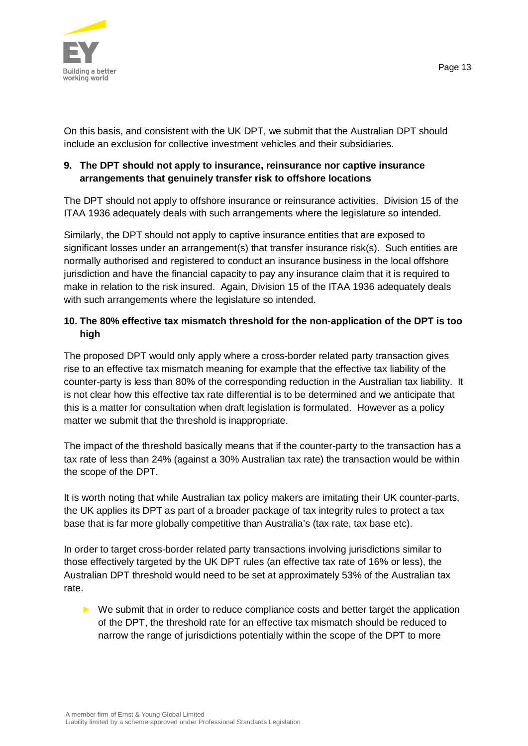

On this basis, and consistent with the UK DPT, we submit that the Australian DPT should include an exclusion for collective investment vehicles and their subsidiaries.

## **9. The DPT should not apply to insurance, reinsurance nor captive insurance arrangements that genuinely transfer risk to offshore locations**

The DPT should not apply to offshore insurance or reinsurance activities. Division 15 of the ITAA 1936 adequately deals with such arrangements where the legislature so intended.

Similarly, the DPT should not apply to captive insurance entities that are exposed to significant losses under an arrangement(s) that transfer insurance risk(s). Such entities are normally authorised and registered to conduct an insurance business in the local offshore jurisdiction and have the financial capacity to pay any insurance claim that it is required to make in relation to the risk insured. Again, Division 15 of the ITAA 1936 adequately deals with such arrangements where the legislature so intended.

## **10. The 80% effective tax mismatch threshold for the non-application of the DPT is too high**

The proposed DPT would only apply where a cross-border related party transaction gives rise to an effective tax mismatch meaning for example that the effective tax liability of the counter-party is less than 80% of the corresponding reduction in the Australian tax liability. It is not clear how this effective tax rate differential is to be determined and we anticipate that this is a matter for consultation when draft legislation is formulated. However as a policy matter we submit that the threshold is inappropriate.

The impact of the threshold basically means that if the counter-party to the transaction has a tax rate of less than 24% (against a 30% Australian tax rate) the transaction would be within the scope of the DPT.

It is worth noting that while Australian tax policy makers are imitating their UK counter-parts, the UK applies its DPT as part of a broader package of tax integrity rules to protect a tax base that is far more globally competitive than Australia's (tax rate, tax base etc).

In order to target cross-border related party transactions involving jurisdictions similar to those effectively targeted by the UK DPT rules (an effective tax rate of 16% or less), the Australian DPT threshold would need to be set at approximately 53% of the Australian tax rate.

► We submit that in order to reduce compliance costs and better target the application of the DPT, the threshold rate for an effective tax mismatch should be reduced to narrow the range of jurisdictions potentially within the scope of the DPT to more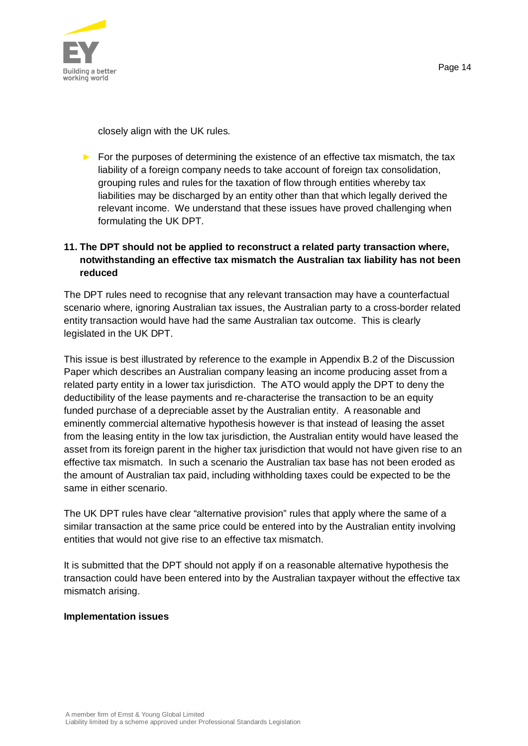

closely align with the UK rules.

 $\triangleright$  For the purposes of determining the existence of an effective tax mismatch, the tax liability of a foreign company needs to take account of foreign tax consolidation, grouping rules and rules for the taxation of flow through entities whereby tax liabilities may be discharged by an entity other than that which legally derived the relevant income. We understand that these issues have proved challenging when formulating the UK DPT.

# **11. The DPT should not be applied to reconstruct a related party transaction where, notwithstanding an effective tax mismatch the Australian tax liability has not been reduced**

The DPT rules need to recognise that any relevant transaction may have a counterfactual scenario where, ignoring Australian tax issues, the Australian party to a cross-border related entity transaction would have had the same Australian tax outcome. This is clearly legislated in the UK DPT.

This issue is best illustrated by reference to the example in Appendix B.2 of the Discussion Paper which describes an Australian company leasing an income producing asset from a related party entity in a lower tax jurisdiction. The ATO would apply the DPT to deny the deductibility of the lease payments and re-characterise the transaction to be an equity funded purchase of a depreciable asset by the Australian entity. A reasonable and eminently commercial alternative hypothesis however is that instead of leasing the asset from the leasing entity in the low tax jurisdiction, the Australian entity would have leased the asset from its foreign parent in the higher tax jurisdiction that would not have given rise to an effective tax mismatch. In such a scenario the Australian tax base has not been eroded as the amount of Australian tax paid, including withholding taxes could be expected to be the same in either scenario.

The UK DPT rules have clear "alternative provision" rules that apply where the same of a similar transaction at the same price could be entered into by the Australian entity involving entities that would not give rise to an effective tax mismatch.

It is submitted that the DPT should not apply if on a reasonable alternative hypothesis the transaction could have been entered into by the Australian taxpayer without the effective tax mismatch arising.

#### **Implementation issues**